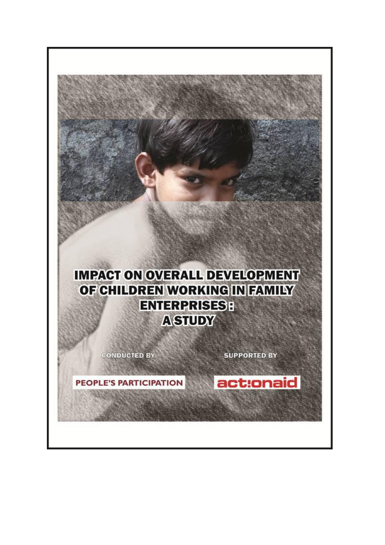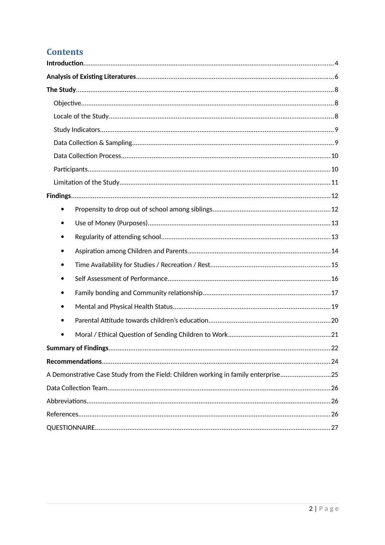# **Contents**

| $\bullet$ |                                                                                    |    |
|-----------|------------------------------------------------------------------------------------|----|
| ٠         |                                                                                    |    |
| ٠         |                                                                                    |    |
| ٠         |                                                                                    |    |
| ٠         |                                                                                    |    |
| ٠         |                                                                                    |    |
| ٠         |                                                                                    |    |
| ٠         |                                                                                    |    |
|           |                                                                                    |    |
| ٠         |                                                                                    |    |
|           | <b>Summary of Findings.</b>                                                        | 22 |
|           |                                                                                    |    |
|           | A Demonstrative Case Study from the Field: Children working in family enterprise25 |    |
|           |                                                                                    |    |
|           |                                                                                    |    |
|           |                                                                                    |    |
|           |                                                                                    |    |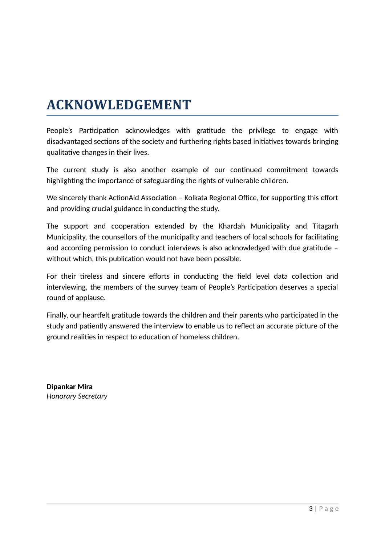# **ACKNOWLEDGEMENT**

People's Participation acknowledges with gratitude the privilege to engage with disadvantaged sections of the society and furthering rights based initiatives towards bringing qualitative changes in their lives.

The current study is also another example of our continued commitment towards highlighting the importance of safeguarding the rights of vulnerable children.

We sincerely thank ActionAid Association – Kolkata Regional Office, for supporting this effort and providing crucial guidance in conducting the study.

The support and cooperation extended by the Khardah Municipality and Titagarh Municipality, the counsellors of the municipality and teachers of local schools for facilitating and according permission to conduct interviews is also acknowledged with due gratitude without which, this publication would not have been possible.

For their tireless and sincere efforts in conducting the field level data collection and interviewing, the members of the survey team of People's Participation deserves a special round of applause.

Finally, our heartfelt gratitude towards the children and their parents who participated in the study and patiently answered the interview to enable us to reflect an accurate picture of the ground realities in respect to education of homeless children.

**Dipankar Mira** *Honorary Secretary*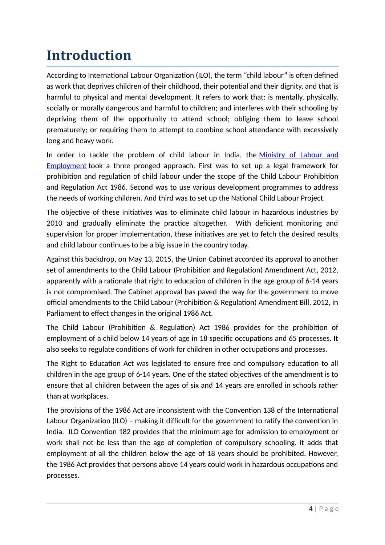# <span id="page-3-0"></span>**Introduction**

According to International Labour Organization (ILO), the term "child labour" is often defined as work that deprives children of their childhood, their potential and their dignity, and that is harmful to physical and mental development. It refers to work that: is mentally, physically, socially or morally dangerous and harmful to children; and interferes with their schooling by depriving them of the opportunity to attend school; obliging them to leave school prematurely; or requiring them to attempt to combine school attendance with excessively long and heavy work.

In order to tackle the problem of child labour in India, the [Ministry of Labour and](http://www.childlineindia.org.in/Ministry-of-Labour-and-Employment-and-Related-Bodies.htm) **[Employment](http://www.childlineindia.org.in/Ministry-of-Labour-and-Employment-and-Related-Bodies.htm)** took a three pronged approach. First was to set up a legal framework for prohibition and regulation of child labour under the scope of the Child Labour Prohibition and Regulation Act 1986. Second was to use various development programmes to address the needs of working children. And third was to set up the National Child Labour Project.

The objective of these initiatives was to eliminate child labour in hazardous industries by 2010 and gradually eliminate the practice altogether. With deficient monitoring and supervision for proper implementation, these initiatives are yet to fetch the desired results and child labour continues to be a big issue in the country today.

Against this backdrop, on May 13, 2015, the Union Cabinet accorded its approval to another set of amendments to the Child Labour (Prohibition and Regulation) Amendment Act, 2012, apparently with a rationale that right to education of children in the age group of 6-14 years is not compromised. The Cabinet approval has paved the way for the government to move official amendments to the Child Labour (Prohibition & Regulation) Amendment Bill, 2012, in Parliament to effect changes in the original 1986 Act.

The Child Labour (Prohibition & Regulation) Act 1986 provides for the prohibition of employment of a child below 14 years of age in 18 specific occupations and 65 processes. It also seeks to regulate conditions of work for children in other occupations and processes.

The Right to Education Act was legislated to ensure free and compulsory education to all children in the age group of 6-14 years. One of the stated objectives of the amendment is to ensure that all children between the ages of six and 14 years are enrolled in schools rather than at workplaces.

The provisions of the 1986 Act are inconsistent with the Convention 138 of the International Labour Organization (ILO) – making it difficult for the government to ratify the convention in India. ILO Convention 182 provides that the minimum age for admission to employment or work shall not be less than the age of completion of compulsory schooling. It adds that employment of all the children below the age of 18 years should be prohibited. However, the 1986 Act provides that persons above 14 years could work in hazardous occupations and processes.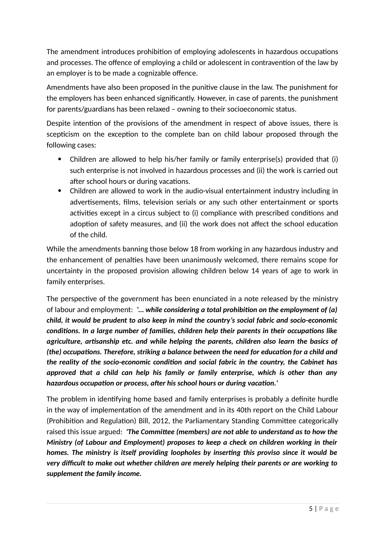The amendment introduces prohibition of employing adolescents in hazardous occupations and processes. The offence of employing a child or adolescent in contravention of the law by an employer is to be made a cognizable offence.

Amendments have also been proposed in the punitive clause in the law. The punishment for the employers has been enhanced significantly. However, in case of parents, the punishment for parents/guardians has been relaxed – owning to their socioeconomic status.

Despite intention of the provisions of the amendment in respect of above issues, there is scepticism on the exception to the complete ban on child labour proposed through the following cases:

- Children are allowed to help his/her family or family enterprise(s) provided that (i) such enterprise is not involved in hazardous processes and (ii) the work is carried out after school hours or during vacations.
- Children are allowed to work in the audio-visual entertainment industry including in advertisements, films, television serials or any such other entertainment or sports activities except in a circus subject to (i) compliance with prescribed conditions and adoption of safety measures, and (ii) the work does not affect the school education of the child.

While the amendments banning those below 18 from working in any hazardous industry and the enhancement of penalties have been unanimously welcomed, there remains scope for uncertainty in the proposed provision allowing children below 14 years of age to work in family enterprises.

The perspective of the government has been enunciated in a note released by the ministry of labour and employment: *'… while considering a total prohibition on the employment of (a) child, it would be prudent to also keep in mind the country's social fabric and socio-economic conditions. In a large number of families, children help their parents in their occupations like agriculture, artisanship etc. and while helping the parents, children also learn the basics of (the) occupations. Therefore, striking a balance between the need for education for a child and the reality of the socio-economic condition and social fabric in the country, the Cabinet has approved that a child can help his family or family enterprise, which is other than any hazardous occupation or process, after his school hours or during vacation.'*

The problem in identifying home based and family enterprises is probably a definite hurdle in the way of implementation of the amendment and in its 40th report on the Child Labour (Prohibition and Regulation) Bill, 2012, the Parliamentary Standing Committee categorically raised this issue argued: *'The Committee (members) are not able to understand as to how the Ministry (of Labour and Employment) proposes to keep a check on children working in their homes. The ministry is itself providing loopholes by inserting this proviso since it would be very difficult to make out whether children are merely helping their parents or are working to supplement the family income.*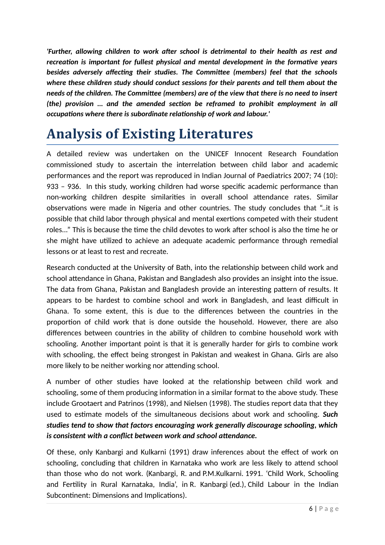*'Further, allowing children to work after school is detrimental to their health as rest and recreation is important for fullest physical and mental development in the formative years besides adversely affecting their studies. The Committee (members) feel that the schools where these children study should conduct sessions for their parents and tell them about the needs of the children. The Committee (members) are of the view that there is no need to insert (the) provision … and the amended section be reframed to prohibit employment in all occupations where there is subordinate relationship of work and labour.'*

# <span id="page-5-0"></span>**Analysis of Existing Literatures**

A detailed review was undertaken on the UNICEF Innocent Research Foundation commissioned study to ascertain the interrelation between child labor and academic performances and the report was reproduced in Indian Journal of Paediatrics 2007; 74 (10): 933 – 936. In this study, working children had worse specific academic performance than non-working children despite similarities in overall school attendance rates. Similar observations were made in Nigeria and other countries. The study concludes that "..it is possible that child labor through physical and mental exertions competed with their student roles..." This is because the time the child devotes to work after school is also the time he or she might have utilized to achieve an adequate academic performance through remedial lessons or at least to rest and recreate.

Research conducted at the University of Bath, into the relationship between child work and school attendance in Ghana, Pakistan and Bangladesh also provides an insight into the issue. The data from Ghana, Pakistan and Bangladesh provide an interesting pattern of results. It appears to be hardest to combine school and work in Bangladesh, and least difficult in Ghana. To some extent, this is due to the differences between the countries in the proportion of child work that is done outside the household. However, there are also differences between countries in the ability of children to combine household work with schooling. Another important point is that it is generally harder for girls to combine work with schooling, the effect being strongest in Pakistan and weakest in Ghana. Girls are also more likely to be neither working nor attending school.

A number of other studies have looked at the relationship between child work and schooling, some of them producing information in a similar format to the above study. These include Grootaert and Patrinos (1998), and Nielsen (1998). The studies report data that they used to estimate models of the simultaneous decisions about work and schooling. *Such studies tend to show that factors encouraging work generally discourage schooling, which is consistent with a conflict between work and school attendance.* 

Of these, only Kanbargi and Kulkarni (1991) draw inferences about the effect of work on schooling, concluding that children in Karnataka who work are less likely to attend school than those who do not work. (Kanbargi, R. and P.M.Kulkarni. 1991. 'Child Work, Schooling and Fertility in Rural Karnataka, India', in R. Kanbargi (ed.), Child Labour in the Indian Subcontinent: Dimensions and Implications).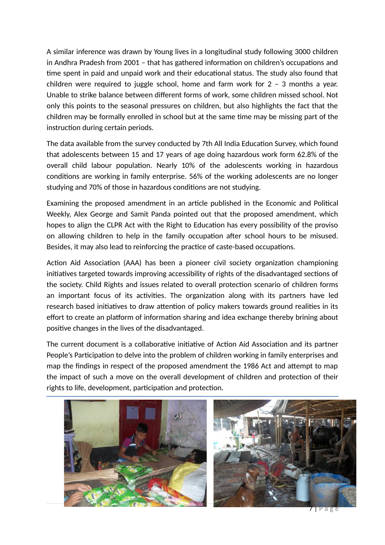A similar inference was drawn by Young lives in a longitudinal study following 3000 children in Andhra Pradesh from 2001 – that has gathered information on children's occupations and time spent in paid and unpaid work and their educational status. The study also found that children were required to juggle school, home and farm work for 2 – 3 months a year. Unable to strike balance between different forms of work, some children missed school. Not only this points to the seasonal pressures on children, but also highlights the fact that the children may be formally enrolled in school but at the same time may be missing part of the instruction during certain periods.

The data available from the survey conducted by 7th All India Education Survey, which found that adolescents between 15 and 17 years of age doing hazardous work form 62.8% of the overall child labour population. Nearly 10% of the adolescents working in hazardous conditions are working in family enterprise. 56% of the working adolescents are no longer studying and 70% of those in hazardous conditions are not studying.

Examining the proposed amendment in an article published in the Economic and Political Weekly, Alex George and Samit Panda pointed out that the proposed amendment, which hopes to align the CLPR Act with the Right to Education has every possibility of the proviso on allowing children to help in the family occupation after school hours to be misused. Besides, it may also lead to reinforcing the practice of caste-based occupations.

Action Aid Association (AAA) has been a pioneer civil society organization championing initiatives targeted towards improving accessibility of rights of the disadvantaged sections of the society. Child Rights and issues related to overall protection scenario of children forms an important focus of its activities. The organization along with its partners have led research based initiatives to draw attention of policy makers towards ground realities in its effort to create an platform of information sharing and idea exchange thereby brining about positive changes in the lives of the disadvantaged.

The current document is a collaborative initiative of Action Aid Association and its partner People's Participation to delve into the problem of children working in family enterprises and map the findings in respect of the proposed amendment the 1986 Act and attempt to map the impact of such a move on the overall development of children and protection of their rights to life, development, participation and protection.



7 | P a g e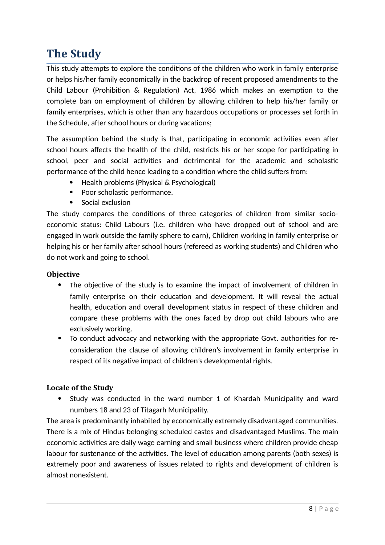# <span id="page-7-0"></span>**The Study**

This study attempts to explore the conditions of the children who work in family enterprise or helps his/her family economically in the backdrop of recent proposed amendments to the Child Labour (Prohibition & Regulation) Act, 1986 which makes an exemption to the complete ban on employment of children by allowing children to help his/her family or family enterprises, which is other than any hazardous occupations or processes set forth in the Schedule, after school hours or during vacations;

The assumption behind the study is that, participating in economic activities even after school hours affects the health of the child, restricts his or her scope for participating in school, peer and social activities and detrimental for the academic and scholastic performance of the child hence leading to a condition where the child suffers from:

- Health problems (Physical & Psychological)
- Poor scholastic performance.
- Social exclusion

The study compares the conditions of three categories of children from similar socioeconomic status: Child Labours (i.e. children who have dropped out of school and are engaged in work outside the family sphere to earn), Children working in family enterprise or helping his or her family after school hours (refereed as working students) and Children who do not work and going to school.

# <span id="page-7-1"></span>**Objective**

- The objective of the study is to examine the impact of involvement of children in family enterprise on their education and development. It will reveal the actual health, education and overall development status in respect of these children and compare these problems with the ones faced by drop out child labours who are exclusively working.
- To conduct advocacy and networking with the appropriate Govt. authorities for reconsideration the clause of allowing children's involvement in family enterprise in respect of its negative impact of children's developmental rights.

# <span id="page-7-2"></span>**Locale of the Study**

 Study was conducted in the ward number 1 of Khardah Municipality and ward numbers 18 and 23 of Titagarh Municipality.

The area is predominantly inhabited by economically extremely disadvantaged communities. There is a mix of Hindus belonging scheduled castes and disadvantaged Muslims. The main economic activities are daily wage earning and small business where children provide cheap labour for sustenance of the activities. The level of education among parents (both sexes) is extremely poor and awareness of issues related to rights and development of children is almost nonexistent.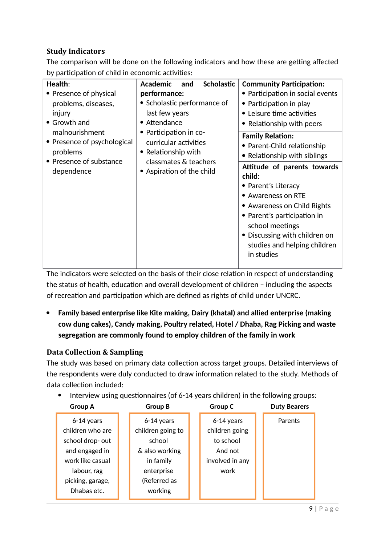# <span id="page-8-0"></span>**Study Indicators**

The comparison will be done on the following indicators and how these are getting affected by participation of child in economic activities:

| Health:                               | <b>Scholastic</b><br><b>Academic</b><br>and        | <b>Community Participation:</b>                                                                                                                                                                                                                    |
|---------------------------------------|----------------------------------------------------|----------------------------------------------------------------------------------------------------------------------------------------------------------------------------------------------------------------------------------------------------|
| • Presence of physical                | performance:                                       | • Participation in social events                                                                                                                                                                                                                   |
| problems, diseases,                   | • Scholastic performance of                        | • Participation in play                                                                                                                                                                                                                            |
| injury                                | last few years                                     | • Leisure time activities                                                                                                                                                                                                                          |
| • Growth and                          | • Attendance                                       | • Relationship with peers                                                                                                                                                                                                                          |
| malnourishment                        | • Participation in co-                             | <b>Family Relation:</b>                                                                                                                                                                                                                            |
| • Presence of psychological           | curricular activities                              | • Parent-Child relationship                                                                                                                                                                                                                        |
| problems                              | • Relationship with                                | • Relationship with siblings                                                                                                                                                                                                                       |
| • Presence of substance<br>dependence | classmates & teachers<br>• Aspiration of the child | Attitude of parents towards<br>child:<br>• Parent's Literacy<br>• Awareness on RTE<br>• Awareness on Child Rights<br>• Parent's participation in<br>school meetings<br>• Discussing with children on<br>studies and helping children<br>in studies |

The indicators were selected on the basis of their close relation in respect of understanding the status of health, education and overall development of children – including the aspects of recreation and participation which are defined as rights of child under UNCRC.

 **Family based enterprise like Kite making, Dairy (khatal) and allied enterprise (making cow dung cakes), Candy making, Poultry related, Hotel / Dhaba, Rag Picking and waste segregation are commonly found to employ children of the family in work**

# <span id="page-8-1"></span>**Data Collection & Sampling**

The study was based on primary data collection across target groups. Detailed interviews of the respondents were duly conducted to draw information related to the study. Methods of data collection included:

• Interview using questionnaires (of 6-14 years children) in the following groups:

| <b>Group A</b>   | <b>Group B</b>    | Group C         | <b>Duty Bearers</b> |
|------------------|-------------------|-----------------|---------------------|
| $6-14$ years     | 6-14 years        | $6-14$ years    | Parents             |
| children who are | children going to | children going  |                     |
| school drop- out | school            | to school       |                     |
| and engaged in   | & also working    | And not         |                     |
| work like casual | in family         | involved in any |                     |
| labour, rag      | enterprise        | work            |                     |
| picking, garage, | (Referred as      |                 |                     |
| Dhabas etc.      | working           |                 |                     |
|                  |                   |                 |                     |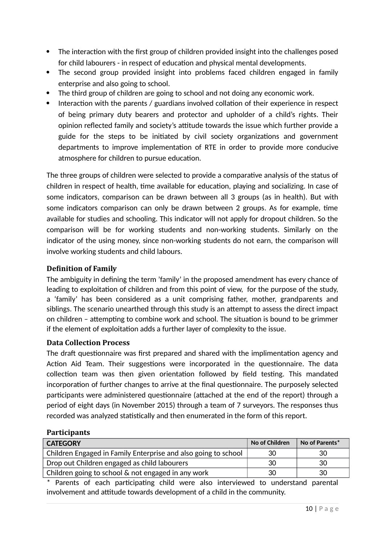- The interaction with the first group of children provided insight into the challenges posed for child labourers - in respect of education and physical mental developments.
- The second group provided insight into problems faced children engaged in family enterprise and also going to school.
- The third group of children are going to school and not doing any economic work.
- Interaction with the parents / guardians involved collation of their experience in respect of being primary duty bearers and protector and upholder of a child's rights. Their opinion reflected family and society's attitude towards the issue which further provide a guide for the steps to be initiated by civil society organizations and government departments to improve implementation of RTE in order to provide more conducive atmosphere for children to pursue education.

The three groups of children were selected to provide a comparative analysis of the status of children in respect of health, time available for education, playing and socializing. In case of some indicators, comparison can be drawn between all 3 groups (as in health). But with some indicators comparison can only be drawn between 2 groups. As for example, time available for studies and schooling. This indicator will not apply for dropout children. So the comparison will be for working students and non-working students. Similarly on the indicator of the using money, since non-working students do not earn, the comparison will involve working students and child labours.

# **Definition of Family**

The ambiguity in defining the term 'family' in the proposed amendment has every chance of leading to exploitation of children and from this point of view, for the purpose of the study, a 'family' has been considered as a unit comprising father, mother, grandparents and siblings. The scenario unearthed through this study is an attempt to assess the direct impact on children – attempting to combine work and school. The situation is bound to be grimmer if the element of exploitation adds a further layer of complexity to the issue.

#### <span id="page-9-0"></span>**Data Collection Process**

The draft questionnaire was first prepared and shared with the implimentation agency and Action Aid Team. Their suggestions were incorporated in the questionnaire. The data collection team was then given orientation followed by field testing. This mandated incorporation of further changes to arrive at the final questionnaire. The purposely selected participants were administered questionnaire (attached at the end of the report) through a period of eight days (in November 2015) through a team of 7 surveyors. The responses thus recorded was analyzed statistically and then enumerated in the form of this report.

#### <span id="page-9-1"></span>**Participants**

| <b>CATEGORY</b>                                                | No of Children | No of Parents* |
|----------------------------------------------------------------|----------------|----------------|
| Children Engaged in Family Enterprise and also going to school | 30             | 30             |
| Drop out Children engaged as child labourers                   | 30             | 30             |
| Children going to school & not engaged in any work             | 30             | 30             |

\* Parents of each participating child were also interviewed to understand parental involvement and attitude towards development of a child in the community.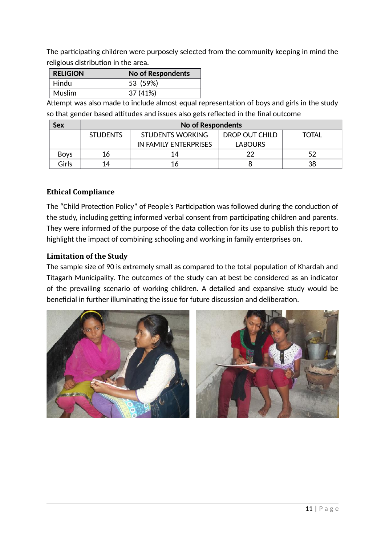The participating children were purposely selected from the community keeping in mind the religious distribution in the area.

| <b>RELIGION</b> | <b>No of Respondents</b> |
|-----------------|--------------------------|
| Hindu           | 53 (59%)                 |
| $\mid$ Muslim   | 37 (41%)                 |

Attempt was also made to include almost equal representation of boys and girls in the study so that gender based attitudes and issues also gets reflected in the final outcome

| <b>Sex</b>  | <b>No of Respondents</b> |                       |                |              |
|-------------|--------------------------|-----------------------|----------------|--------------|
|             | <b>STUDENTS</b>          | STUDENTS WORKING      | DROP OUT CHILD | <b>TOTAL</b> |
|             |                          | IN FAMILY ENTERPRISES | <b>LABOURS</b> |              |
| <b>Boys</b> | 16                       | 14                    | つつ             | 52           |
| Girls       | 14                       | 16                    |                | 38           |

# **Ethical Compliance**

The "Child Protection Policy" of People's Participation was followed during the conduction of the study, including getting informed verbal consent from participating children and parents. They were informed of the purpose of the data collection for its use to publish this report to highlight the impact of combining schooling and working in family enterprises on.

### <span id="page-10-0"></span>**Limitation of the Study**

The sample size of 90 is extremely small as compared to the total population of Khardah and Titagarh Municipality. The outcomes of the study can at best be considered as an indicator of the prevailing scenario of working children. A detailed and expansive study would be beneficial in further illuminating the issue for future discussion and deliberation.

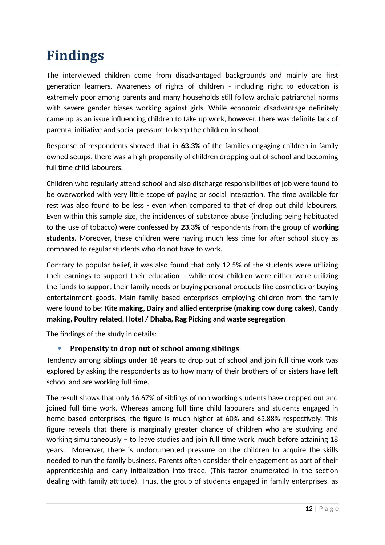# <span id="page-11-0"></span>**Findings**

The interviewed children come from disadvantaged backgrounds and mainly are first generation learners. Awareness of rights of children - including right to education is extremely poor among parents and many households still follow archaic patriarchal norms with severe gender biases working against girls. While economic disadvantage definitely came up as an issue influencing children to take up work, however, there was definite lack of parental initiative and social pressure to keep the children in school.

Response of respondents showed that in **63.3%** of the families engaging children in family owned setups, there was a high propensity of children dropping out of school and becoming full time child labourers.

Children who regularly attend school and also discharge responsibilities of job were found to be overworked with very little scope of paying or social interaction. The time available for rest was also found to be less - even when compared to that of drop out child labourers. Even within this sample size, the incidences of substance abuse (including being habituated to the use of tobacco) were confessed by **23.3%** of respondents from the group of **working students**. Moreover, these children were having much less time for after school study as compared to regular students who do not have to work.

Contrary to popular belief, it was also found that only 12.5% of the students were utilizing their earnings to support their education – while most children were either were utilizing the funds to support their family needs or buying personal products like cosmetics or buying entertainment goods. Main family based enterprises employing children from the family were found to be: **Kite making, Dairy and allied enterprise (making cow dung cakes), Candy making, Poultry related, Hotel / Dhaba, Rag Picking and waste segregation**

The findings of the study in details:

# <span id="page-11-1"></span>**Propensity to drop out of school among siblings**

Tendency among siblings under 18 years to drop out of school and join full time work was explored by asking the respondents as to how many of their brothers of or sisters have left school and are working full time.

The result shows that only 16.67% of siblings of non working students have dropped out and joined full time work. Whereas among full time child labourers and students engaged in home based enterprises, the figure is much higher at 60% and 63.88% respectively. This figure reveals that there is marginally greater chance of children who are studying and working simultaneously – to leave studies and join full time work, much before attaining 18 years. Moreover, there is undocumented pressure on the children to acquire the skills needed to run the family business. Parents often consider their engagement as part of their apprenticeship and early initialization into trade. (This factor enumerated in the section dealing with family attitude). Thus, the group of students engaged in family enterprises, as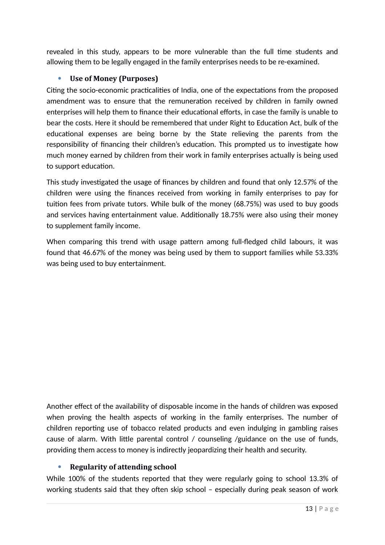revealed in this study, appears to be more vulnerable than the full time students and allowing them to be legally engaged in the family enterprises needs to be re-examined.

### <span id="page-12-0"></span>**Use of Money (Purposes)**

Citing the socio-economic practicalities of India, one of the expectations from the proposed amendment was to ensure that the remuneration received by children in family owned enterprises will help them to finance their educational efforts, in case the family is unable to bear the costs. Here it should be remembered that under Right to Education Act, bulk of the educational expenses are being borne by the State relieving the parents from the responsibility of financing their children's education. This prompted us to investigate how much money earned by children from their work in family enterprises actually is being used to support education.

This study investigated the usage of finances by children and found that only 12.57% of the children were using the finances received from working in family enterprises to pay for tuition fees from private tutors. While bulk of the money (68.75%) was used to buy goods and services having entertainment value. Additionally 18.75% were also using their money to supplement family income.

When comparing this trend with usage pattern among full-fledged child labours, it was found that 46.67% of the money was being used by them to support families while 53.33% was being used to buy entertainment.

Another effect of the availability of disposable income in the hands of children was exposed when proving the health aspects of working in the family enterprises. The number of children reporting use of tobacco related products and even indulging in gambling raises cause of alarm. With little parental control / counseling /guidance on the use of funds, providing them access to money is indirectly jeopardizing their health and security.

#### <span id="page-12-1"></span>**Regularity of attending school**

While 100% of the students reported that they were regularly going to school 13.3% of working students said that they often skip school – especially during peak season of work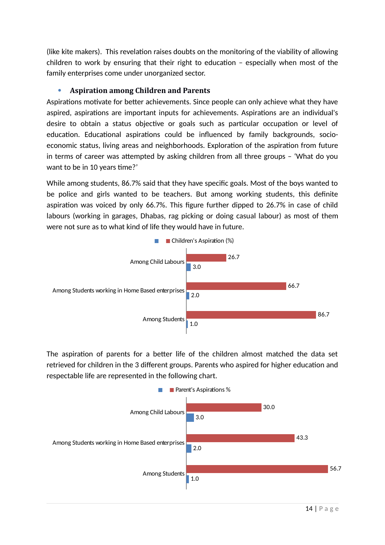(like kite makers). This revelation raises doubts on the monitoring of the viability of allowing children to work by ensuring that their right to education – especially when most of the family enterprises come under unorganized sector.

### <span id="page-13-0"></span>**Aspiration among Children and Parents**

Aspirations motivate for better achievements. Since people can only achieve what they have aspired, aspirations are important inputs for achievements. Aspirations are an individual's desire to obtain a status objective or goals such as particular occupation or level of education. Educational aspirations could be influenced by family backgrounds, socioeconomic status, living areas and neighborhoods. Exploration of the aspiration from future in terms of career was attempted by asking children from all three groups – 'What do you want to be in 10 years time?'

While among students, 86.7% said that they have specific goals. Most of the boys wanted to be police and girls wanted to be teachers. But among working students, this definite aspiration was voiced by only 66.7%. This figure further dipped to 26.7% in case of child labours (working in garages, Dhabas, rag picking or doing casual labour) as most of them were not sure as to what kind of life they would have in future.



The aspiration of parents for a better life of the children almost matched the data set retrieved for children in the 3 different groups. Parents who aspired for higher education and respectable life are represented in the following chart.

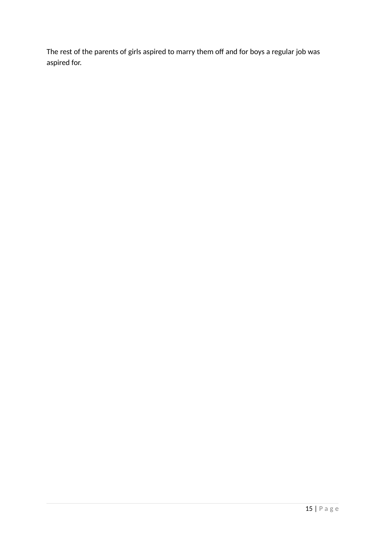The rest of the parents of girls aspired to marry them off and for boys a regular job was aspired for.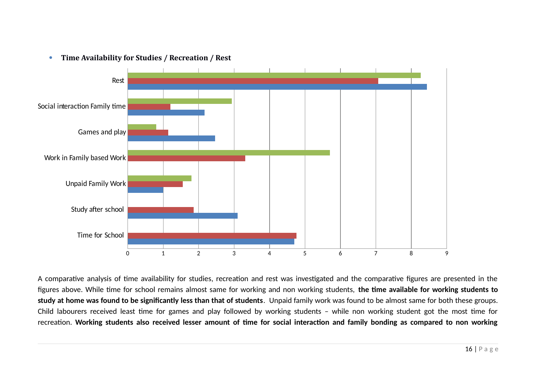

#### **Time Availability for Studies / Recreation / Rest**

<span id="page-15-0"></span>A comparative analysis of time availability for studies, recreation and rest was investigated and the comparative figures are presented in the figures above. While time for school remains almost same for working and non working students, **the time available for working students to study at home was found to be significantly less than that of students**. Unpaid family work was found to be almost same for both these groups. Child labourers received least time for games and play followed by working students – while non working student got the most time for recreation. **Working students also received lesser amount of time for social interaction and family bonding as compared to non working**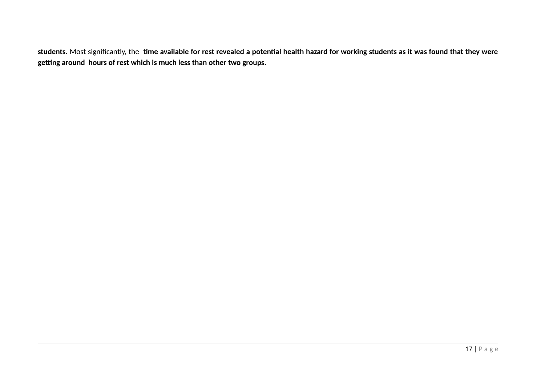**students.** Most significantly, the **time available for rest revealed a potential health hazard for working students as it was found that they were getting around hours of rest which is much less than other two groups.**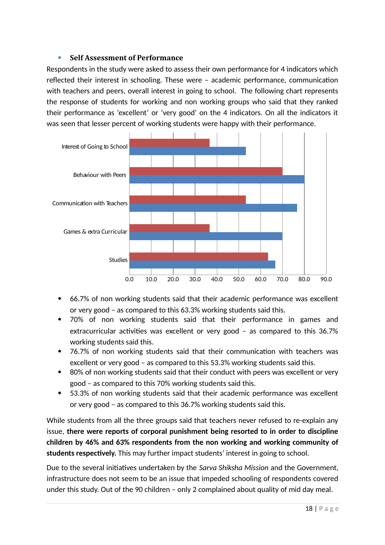### <span id="page-17-0"></span>**Self Assessment of Performance**

Respondents in the study were asked to assess their own performance for 4 indicators which reflected their interest in schooling. These were – academic performance, communication with teachers and peers, overall interest in going to school. The following chart represents the response of students for working and non working groups who said that they ranked their performance as 'excellent' or 'very good' on the 4 indicators. On all the indicators it was seen that lesser percent of working students were happy with their performance.



- 66.7% of non working students said that their academic performance was excellent or very good – as compared to this 63.3% working students said this.
- 70% of non working students said that their performance in games and extracurricular activities was excellent or very good – as compared to this 36.7% working students said this.
- 76.7% of non working students said that their communication with teachers was excellent or very good – as compared to this 53.3% working students said this.
- 80% of non working students said that their conduct with peers was excellent or very good – as compared to this 70% working students said this.
- 53.3% of non working students said that their academic performance was excellent or very good – as compared to this 36.7% working students said this.

While students from all the three groups said that teachers never refused to re-explain any issue, **there were reports of corporal punishment being resorted to in order to discipline children by 46% and 63% respondents from the non working and working community of students respectively.** This may further impact students' interest in going to school.

Due to the several initiatives undertaken by the *Sarva Shiksha Mission* and the Government, infrastructure does not seem to be an issue that impeded schooling of respondents covered under this study. Out of the 90 children – only 2 complained about quality of mid day meal.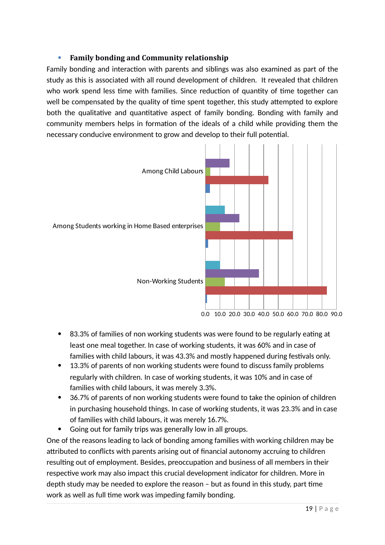# <span id="page-18-0"></span>**Family bonding and Community relationship**

Family bonding and interaction with parents and siblings was also examined as part of the study as this is associated with all round development of children. It revealed that children who work spend less time with families. Since reduction of quantity of time together can well be compensated by the quality of time spent together, this study attempted to explore both the qualitative and quantitative aspect of family bonding. Bonding with family and community members helps in formation of the ideals of a child while providing them the necessary conducive environment to grow and develop to their full potential.



- 83.3% of families of non working students was were found to be regularly eating at least one meal together. In case of working students, it was 60% and in case of families with child labours, it was 43.3% and mostly happened during festivals only.
- 13.3% of parents of non working students were found to discuss family problems regularly with children. In case of working students, it was 10% and in case of families with child labours, it was merely 3.3%.
- 36.7% of parents of non working students were found to take the opinion of children in purchasing household things. In case of working students, it was 23.3% and in case of families with child labours, it was merely 16.7%.
- Going out for family trips was generally low in all groups.

One of the reasons leading to lack of bonding among families with working children may be attributed to conflicts with parents arising out of financial autonomy accruing to children resulting out of employment. Besides, preoccupation and business of all members in their respective work may also impact this crucial development indicator for children. More in depth study may be needed to explore the reason – but as found in this study, part time work as well as full time work was impeding family bonding.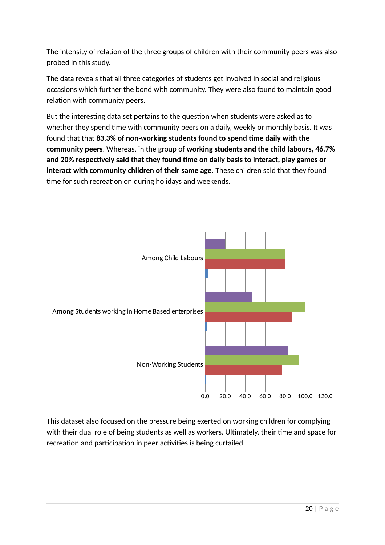The intensity of relation of the three groups of children with their community peers was also probed in this study.

The data reveals that all three categories of students get involved in social and religious occasions which further the bond with community. They were also found to maintain good relation with community peers.

But the interesting data set pertains to the question when students were asked as to whether they spend time with community peers on a daily, weekly or monthly basis. It was found that that **83.3% of non-working students found to spend time daily with the community peers**. Whereas, in the group of **working students and the child labours, 46.7% and 20% respectively said that they found time on daily basis to interact, play games or interact with community children of their same age.** These children said that they found time for such recreation on during holidays and weekends.



This dataset also focused on the pressure being exerted on working children for complying with their dual role of being students as well as workers. Ultimately, their time and space for recreation and participation in peer activities is being curtailed.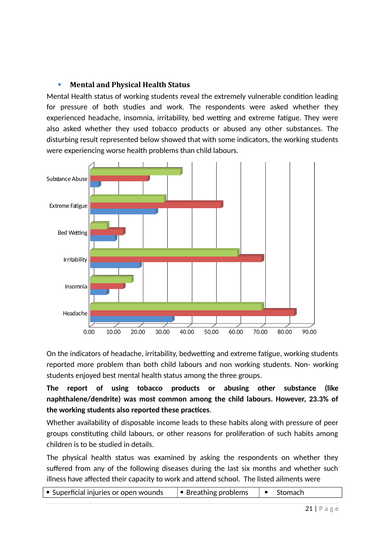### <span id="page-20-0"></span>**Mental and Physical Health Status**

Mental Health status of working students reveal the extremely vulnerable condition leading for pressure of both studies and work. The respondents were asked whether they experienced headache, insomnia, irritability, bed wetting and extreme fatigue. They were also asked whether they used tobacco products or abused any other substances. The disturbing result represented below showed that with some indicators, the working students were experiencing worse health problems than child labours.



On the indicators of headache, irritability, bedwetting and extreme fatigue, working students reported more problem than both child labours and non working students. Non- working students enjoyed best mental health status among the three groups.

**The report of using tobacco products or abusing other substance (like naphthalene/dendrite) was most common among the child labours. However, 23.3% of the working students also reported these practices**.

Whether availability of disposable income leads to these habits along with pressure of peer groups constituting child labours, or other reasons for proliferation of such habits among children is to be studied in details.

The physical health status was examined by asking the respondents on whether they suffered from any of the following diseases during the last six months and whether such illness have affected their capacity to work and attend school. The listed ailments were

| • Superficial injuries or open wounds | $\bullet$ Breathing problems |  | Stomach |
|---------------------------------------|------------------------------|--|---------|
|---------------------------------------|------------------------------|--|---------|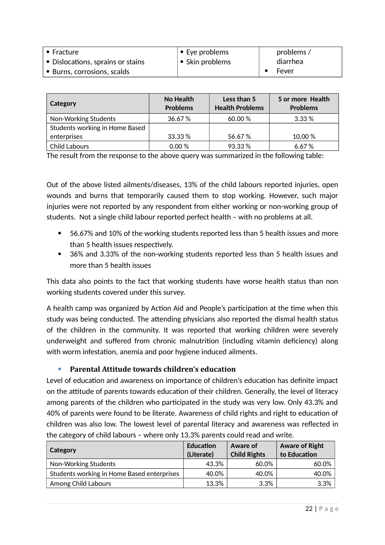| $\bullet$ Fracture                        | $\bullet$ Eye problems  | problems/ |
|-------------------------------------------|-------------------------|-----------|
| $\bullet$ Dislocations, sprains or stains | $\bullet$ Skin problems | diarrhea  |
| • Burns, corrosions, scalds               |                         | Fever     |

| Category                       | <b>No Health</b><br><b>Problems</b> | Less than 5<br><b>Health Problems</b> | 5 or more Health<br><b>Problems</b> |
|--------------------------------|-------------------------------------|---------------------------------------|-------------------------------------|
| Non-Working Students           | 36.67%                              | 60.00 %                               | 3.33%                               |
| Students working in Home Based |                                     |                                       |                                     |
| enterprises                    | 33.33%                              | 56.67 %                               | 10.00 %                             |
| Child Labours                  | 0.00%                               | 93.33 %                               | 6.67%                               |

The result from the response to the above query was summarized in the following table:

Out of the above listed ailments/diseases, 13% of the child labours reported injuries, open wounds and burns that temporarily caused them to stop working. However, such major injuries were not reported by any respondent from either working or non-working group of students. Not a single child labour reported perfect health – with no problems at all.

- 56.67% and 10% of the working students reported less than 5 health issues and more than 5 health issues respectively.
- 36% and 3.33% of the non-working students reported less than 5 health issues and more than 5 health issues

This data also points to the fact that working students have worse health status than non working students covered under this survey.

A health camp was organized by Action Aid and People's participation at the time when this study was being conducted. The attending physicians also reported the dismal health status of the children in the community. It was reported that working children were severely underweight and suffered from chronic malnutrition (including vitamin deficiency) along with worm infestation, anemia and poor hygiene induced ailments.

#### <span id="page-21-0"></span>**Parental Attitude towards children's education**

Level of education and awareness on importance of children's education has definite impact on the attitude of parents towards education of their children. Generally, the level of literacy among parents of the children who participated in the study was very low. Only 43.3% and 40% of parents were found to be literate. Awareness of child rights and right to education of children was also low. The lowest level of parental literacy and awareness was reflected in the category of child labours – where only 13.3% parents could read and write.

| Category                                   | <b>Education</b><br>(Literate) | Aware of<br><b>Child Rights</b> | <b>Aware of Right</b><br>to Education |
|--------------------------------------------|--------------------------------|---------------------------------|---------------------------------------|
| Non-Working Students                       | 43.3%                          | 60.0%                           | $60.0\%$                              |
| Students working in Home Based enterprises | 40.0%                          | 40.0%                           | 40.0%                                 |
| Among Child Labours                        | 13.3%                          | 3.3%                            | 3.3%                                  |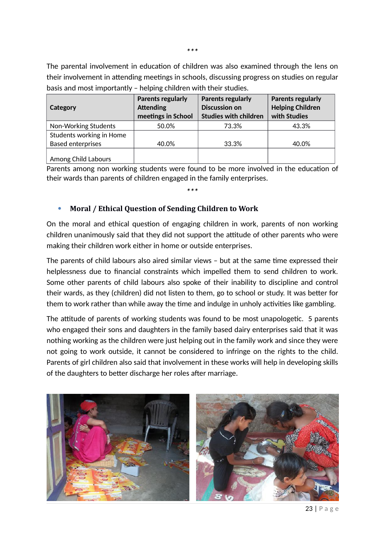The parental involvement in education of children was also examined through the lens on their involvement in attending meetings in schools, discussing progress on studies on regular basis and most importantly – helping children with their studies.

| Category                 | <b>Parents regularly</b><br><b>Attending</b><br>meetings in School | <b>Parents regularly</b><br><b>Discussion on</b><br><b>Studies with children</b> | <b>Parents regularly</b><br><b>Helping Children</b><br>with Studies |
|--------------------------|--------------------------------------------------------------------|----------------------------------------------------------------------------------|---------------------------------------------------------------------|
| Non-Working Students     | 50.0%                                                              | 73.3%                                                                            | 43.3%                                                               |
| Students working in Home |                                                                    |                                                                                  |                                                                     |
| <b>Based enterprises</b> | 40.0%                                                              | 33.3%                                                                            | 40.0%                                                               |
| Among Child Labours      |                                                                    |                                                                                  |                                                                     |

Parents among non working students were found to be more involved in the education of their wards than parents of children engaged in the family enterprises.

*\*\*\**

#### <span id="page-22-0"></span>**Moral / Ethical Question of Sending Children to Work**

On the moral and ethical question of engaging children in work, parents of non working children unanimously said that they did not support the attitude of other parents who were making their children work either in home or outside enterprises.

The parents of child labours also aired similar views – but at the same time expressed their helplessness due to financial constraints which impelled them to send children to work. Some other parents of child labours also spoke of their inability to discipline and control their wards, as they (children) did not listen to them, go to school or study. It was better for them to work rather than while away the time and indulge in unholy activities like gambling.

The attitude of parents of working students was found to be most unapologetic. 5 parents who engaged their sons and daughters in the family based dairy enterprises said that it was nothing working as the children were just helping out in the family work and since they were not going to work outside, it cannot be considered to infringe on the rights to the child. Parents of girl children also said that involvement in these works will help in developing skills of the daughters to better discharge her roles after marriage.



*\*\*\**

23 | P a g e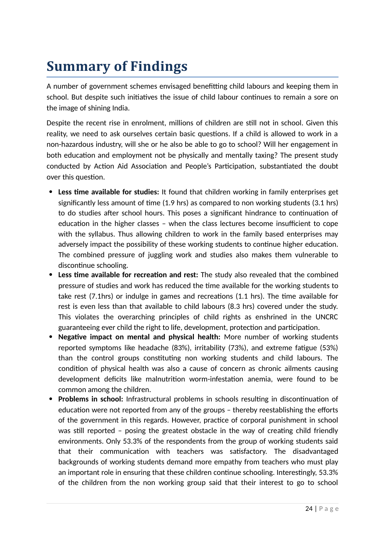# <span id="page-23-0"></span>**Summary of Findings**

A number of government schemes envisaged benefitting child labours and keeping them in school. But despite such initiatives the issue of child labour continues to remain a sore on the image of shining India.

Despite the recent rise in enrolment, millions of children are still not in school. Given this reality, we need to ask ourselves certain basic questions. If a child is allowed to work in a non-hazardous industry, will she or he also be able to go to school? Will her engagement in both education and employment not be physically and mentally taxing? The present study conducted by Action Aid Association and People's Participation, substantiated the doubt over this question.

- **Less time available for studies:** It found that children working in family enterprises get significantly less amount of time (1.9 hrs) as compared to non working students (3.1 hrs) to do studies after school hours. This poses a significant hindrance to continuation of education in the higher classes – when the class lectures become insufficient to cope with the syllabus. Thus allowing children to work in the family based enterprises may adversely impact the possibility of these working students to continue higher education. The combined pressure of juggling work and studies also makes them vulnerable to discontinue schooling.
- **Less time available for recreation and rest:** The study also revealed that the combined pressure of studies and work has reduced the time available for the working students to take rest (7.1hrs) or indulge in games and recreations (1.1 hrs). The time available for rest is even less than that available to child labours (8.3 hrs) covered under the study. This violates the overarching principles of child rights as enshrined in the UNCRC guaranteeing ever child the right to life, development, protection and participation.
- **Negative impact on mental and physical health:** More number of working students reported symptoms like headache (83%), irritability (73%), and extreme fatigue (53%) than the control groups constituting non working students and child labours. The condition of physical health was also a cause of concern as chronic ailments causing development deficits like malnutrition worm-infestation anemia, were found to be common among the children.
- **Problems in school:** Infrastructural problems in schools resulting in discontinuation of education were not reported from any of the groups – thereby reestablishing the efforts of the government in this regards. However, practice of corporal punishment in school was still reported – posing the greatest obstacle in the way of creating child friendly environments. Only 53.3% of the respondents from the group of working students said that their communication with teachers was satisfactory. The disadvantaged backgrounds of working students demand more empathy from teachers who must play an important role in ensuring that these children continue schooling. Interestingly, 53.3% of the children from the non working group said that their interest to go to school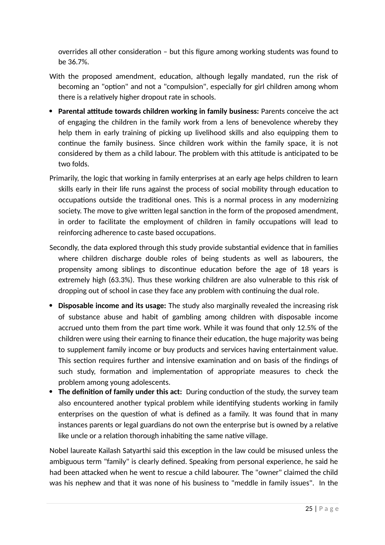overrides all other consideration – but this figure among working students was found to be 36.7%.

- With the proposed amendment, education, although legally mandated, run the risk of becoming an "option" and not a "compulsion", especially for girl children among whom there is a relatively higher dropout rate in schools.
- **Parental attitude towards children working in family business:** Parents conceive the act of engaging the children in the family work from a lens of benevolence whereby they help them in early training of picking up livelihood skills and also equipping them to continue the family business. Since children work within the family space, it is not considered by them as a child labour. The problem with this attitude is anticipated to be two folds.
- Primarily, the logic that working in family enterprises at an early age helps children to learn skills early in their life runs against the process of social mobility through education to occupations outside the traditional ones. This is a normal process in any modernizing society. The move to give written legal sanction in the form of the proposed amendment, in order to facilitate the employment of children in family occupations will lead to reinforcing adherence to caste based occupations.
- Secondly, the data explored through this study provide substantial evidence that in families where children discharge double roles of being students as well as labourers, the propensity among siblings to discontinue education before the age of 18 years is extremely high (63.3%). Thus these working children are also vulnerable to this risk of dropping out of school in case they face any problem with continuing the dual role.
- **Disposable income and its usage:** The study also marginally revealed the increasing risk of substance abuse and habit of gambling among children with disposable income accrued unto them from the part time work. While it was found that only 12.5% of the children were using their earning to finance their education, the huge majority was being to supplement family income or buy products and services having entertainment value. This section requires further and intensive examination and on basis of the findings of such study, formation and implementation of appropriate measures to check the problem among young adolescents.
- **The definition of family under this act:** During conduction of the study, the survey team also encountered another typical problem while identifying students working in family enterprises on the question of what is defined as a family. It was found that in many instances parents or legal guardians do not own the enterprise but is owned by a relative like uncle or a relation thorough inhabiting the same native village.

Nobel laureate Kailash Satyarthi said this exception in the law could be misused unless the ambiguous term "family" is clearly defined. Speaking from personal experience, he said he had been attacked when he went to rescue a child labourer. The "owner" claimed the child was his nephew and that it was none of his business to "meddle in family issues". In the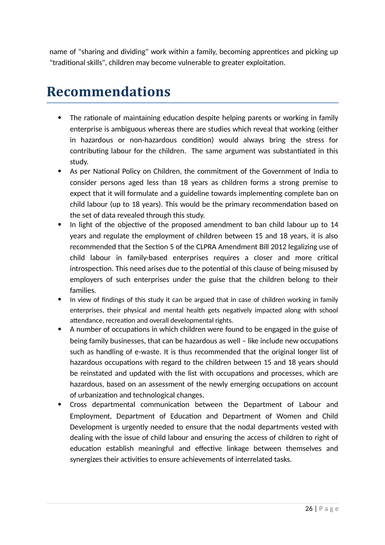name of "sharing and dividing" work within a family, becoming apprentices and picking up "traditional skills", children may become vulnerable to greater exploitation.

# <span id="page-25-0"></span>**Recommendations**

- The rationale of maintaining education despite helping parents or working in family enterprise is ambiguous whereas there are studies which reveal that working (either in hazardous or non-hazardous condition) would always bring the stress for contributing labour for the children. The same argument was substantiated in this study.
- As per National Policy on Children, the commitment of the Government of India to consider persons aged less than 18 years as children forms a strong premise to expect that it will formulate and a guideline towards implementing complete ban on child labour (up to 18 years). This would be the primary recommendation based on the set of data revealed through this study.
- In light of the objective of the proposed amendment to ban child labour up to 14 years and regulate the employment of children between 15 and 18 years, it is also recommended that the Section 5 of the CLPRA Amendment Bill 2012 legalizing use of child labour in family-based enterprises requires a closer and more critical introspection. This need arises due to the potential of this clause of being misused by employers of such enterprises under the guise that the children belong to their families.
- In view of findings of this study it can be argued that in case of children working in family enterprises, their physical and mental health gets negatively impacted along with school attendance, recreation and overall developmental rights.
- A number of occupations in which children were found to be engaged in the guise of being family businesses, that can be hazardous as well – like include new occupations such as handling of e-waste. It is thus recommended that the original longer list of hazardous occupations with regard to the children between 15 and 18 years should be reinstated and updated with the list with occupations and processes, which are hazardous, based on an assessment of the newly emerging occupations on account of urbanization and technological changes.
- Cross departmental communication between the Department of Labour and Employment, Department of Education and Department of Women and Child Development is urgently needed to ensure that the nodal departments vested with dealing with the issue of child labour and ensuring the access of children to right of education establish meaningful and effective linkage between themselves and synergizes their activities to ensure achievements of interrelated tasks.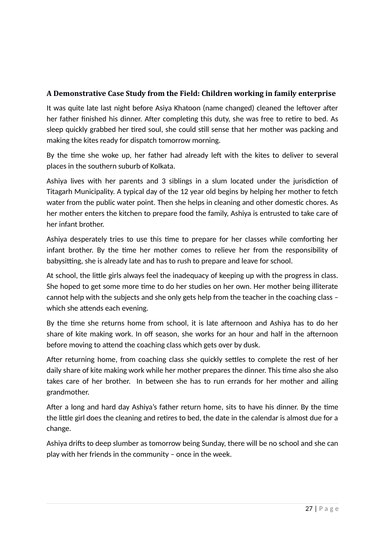# <span id="page-26-0"></span>**A Demonstrative Case Study from the Field: Children working in family enterprise**

It was quite late last night before Asiya Khatoon (name changed) cleaned the leftover after her father finished his dinner. After completing this duty, she was free to retire to bed. As sleep quickly grabbed her tired soul, she could still sense that her mother was packing and making the kites ready for dispatch tomorrow morning.

By the time she woke up, her father had already left with the kites to deliver to several places in the southern suburb of Kolkata.

Ashiya lives with her parents and 3 siblings in a slum located under the jurisdiction of Titagarh Municipality. A typical day of the 12 year old begins by helping her mother to fetch water from the public water point. Then she helps in cleaning and other domestic chores. As her mother enters the kitchen to prepare food the family, Ashiya is entrusted to take care of her infant brother.

Ashiya desperately tries to use this time to prepare for her classes while comforting her infant brother. By the time her mother comes to relieve her from the responsibility of babysitting, she is already late and has to rush to prepare and leave for school.

At school, the little girls always feel the inadequacy of keeping up with the progress in class. She hoped to get some more time to do her studies on her own. Her mother being illiterate cannot help with the subjects and she only gets help from the teacher in the coaching class – which she attends each evening.

By the time she returns home from school, it is late afternoon and Ashiya has to do her share of kite making work. In off season, she works for an hour and half in the afternoon before moving to attend the coaching class which gets over by dusk.

After returning home, from coaching class she quickly settles to complete the rest of her daily share of kite making work while her mother prepares the dinner. This time also she also takes care of her brother. In between she has to run errands for her mother and ailing grandmother.

After a long and hard day Ashiya's father return home, sits to have his dinner. By the time the little girl does the cleaning and retires to bed, the date in the calendar is almost due for a change.

Ashiya drifts to deep slumber as tomorrow being Sunday, there will be no school and she can play with her friends in the community – once in the week.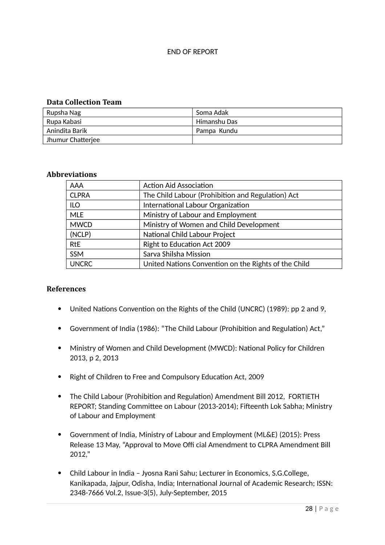#### END OF REPORT

#### <span id="page-27-0"></span>**Data Collection Team**

| Rupsha Nag        | Soma Adak    |
|-------------------|--------------|
| Rupa Kabasi       | Himanshu Das |
| Anindita Barik    | Pampa Kundu  |
| Jhumur Chatterjee |              |

#### <span id="page-27-1"></span>**Abbreviations**

| AAA              | <b>Action Aid Association</b>                        |
|------------------|------------------------------------------------------|
| <b>CLPRA</b>     | The Child Labour (Prohibition and Regulation) Act    |
| $\overline{110}$ | International Labour Organization                    |
| <b>MLE</b>       | Ministry of Labour and Employment                    |
| <b>MWCD</b>      | Ministry of Women and Child Development              |
| (NCLP)           | National Child Labour Project                        |
| RtE              | Right to Education Act 2009                          |
| <b>SSM</b>       | Sarva Shilsha Mission                                |
| <b>UNCRC</b>     | United Nations Convention on the Rights of the Child |
|                  |                                                      |

#### <span id="page-27-2"></span>**References**

- United Nations Convention on the Rights of the Child (UNCRC) (1989): pp 2 and 9,
- Government of India (1986): "The Child Labour (Prohibition and Regulation) Act,"
- Ministry of Women and Child Development (MWCD): National Policy for Children 2013, p 2, 2013
- Right of Children to Free and Compulsory Education Act, 2009
- The Child Labour (Prohibition and Regulation) Amendment Bill 2012, FORTIETH REPORT; Standing Committee on Labour (2013-2014); Fifteenth Lok Sabha; Ministry of Labour and Employment
- Government of India, Ministry of Labour and Employment (ML&E) (2015): Press Release 13 May, "Approval to Move Offi cial Amendment to CLPRA Amendment Bill 2012,"
- Child Labour in India Jyosna Rani Sahu; Lecturer in Economics, S.G.College, Kanikapada, Jajpur, Odisha, India; International Journal of Academic Research; ISSN: 2348-7666 Vol.2, Issue-3(5), July-September, 2015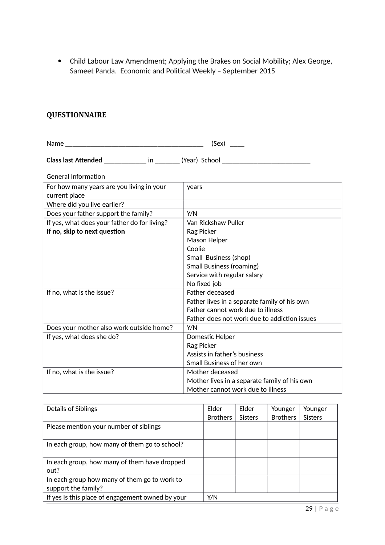Child Labour Law Amendment; Applying the Brakes on Social Mobility; Alex George, Sameet Panda. Economic and Political Weekly – September 2015

#### <span id="page-28-0"></span>**QUESTIONNAIRE**

Name \_\_\_\_\_\_\_\_\_\_\_\_\_\_\_\_\_\_\_\_\_\_\_\_\_\_\_\_\_\_\_\_\_\_\_\_\_\_\_ (Sex) \_\_\_\_

**Class last Attended** \_\_\_\_\_\_\_\_\_\_\_\_ in \_\_\_\_\_\_\_ (Year) School \_\_\_\_\_\_\_\_\_\_\_\_\_\_\_\_\_\_\_\_\_\_\_\_\_

| For how many years are you living in your    | years                                        |
|----------------------------------------------|----------------------------------------------|
| current place                                |                                              |
| Where did you live earlier?                  |                                              |
| Does your father support the family?         | Y/N                                          |
| If yes, what does your father do for living? | Van Rickshaw Puller                          |
| If no, skip to next question                 | Rag Picker                                   |
|                                              | Mason Helper                                 |
|                                              | Coolie                                       |
|                                              | Small Business (shop)                        |
|                                              | <b>Small Business (roaming)</b>              |
|                                              | Service with regular salary                  |
|                                              | No fixed job                                 |
| If no, what is the issue?                    | Father deceased                              |
|                                              | Father lives in a separate family of his own |
|                                              | Father cannot work due to illness            |
|                                              | Father does not work due to addiction issues |
| Does your mother also work outside home?     | Y/N                                          |
| If yes, what does she do?                    | Domestic Helper                              |
|                                              | Rag Picker                                   |
|                                              | Assists in father's business                 |
|                                              | Small Business of her own                    |
| If no, what is the issue?                    | Mother deceased                              |
|                                              | Mother lives in a separate family of his own |
|                                              | Mother cannot work due to illness            |

| <b>Details of Siblings</b>                       | Elder           | Elder          | Younger         | Younger        |
|--------------------------------------------------|-----------------|----------------|-----------------|----------------|
|                                                  | <b>Brothers</b> | <b>Sisters</b> | <b>Brothers</b> | <b>Sisters</b> |
| Please mention your number of siblings           |                 |                |                 |                |
|                                                  |                 |                |                 |                |
| In each group, how many of them go to school?    |                 |                |                 |                |
|                                                  |                 |                |                 |                |
| In each group, how many of them have dropped     |                 |                |                 |                |
| out?                                             |                 |                |                 |                |
| In each group how many of them go to work to     |                 |                |                 |                |
| support the family?                              |                 |                |                 |                |
| If yes Is this place of engagement owned by your | Y/N             |                |                 |                |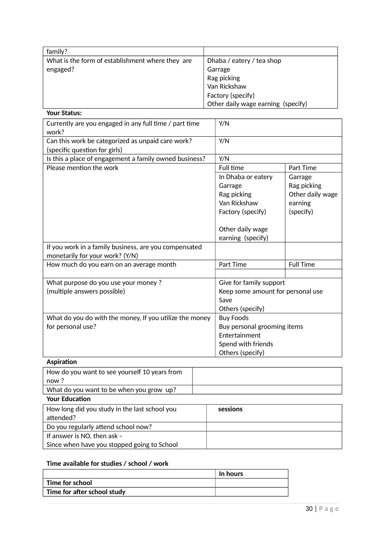| family?                                          |                                    |
|--------------------------------------------------|------------------------------------|
| What is the form of establishment where they are | Dhaba / eatery / tea shop          |
| engaged?                                         | Garrage                            |
|                                                  | Rag picking                        |
|                                                  | Van Rickshaw                       |
|                                                  | Factory (specify)                  |
|                                                  | Other daily wage earning (specify) |
| <b>Your Status:</b>                              |                                    |

| Currently are you engaged in any full time / part time  | Y/N                               |                  |
|---------------------------------------------------------|-----------------------------------|------------------|
| work?                                                   |                                   |                  |
| Can this work be categorized as unpaid care work?       | Y/N                               |                  |
| (specific question for girls)                           |                                   |                  |
| Is this a place of engagement a family owned business?  | Y/N                               |                  |
| Please mention the work                                 | <b>Full time</b><br>Part Time     |                  |
|                                                         | In Dhaba or eatery                | Garrage          |
|                                                         | Garrage                           | Rag picking      |
|                                                         | Rag picking                       | Other daily wage |
|                                                         | Van Rickshaw                      | earning          |
|                                                         | Factory (specify)                 | (specify)        |
|                                                         |                                   |                  |
|                                                         | Other daily wage                  |                  |
|                                                         | earning (specify)                 |                  |
| If you work in a family business, are you compensated   |                                   |                  |
| monetarily for your work? (Y/N)                         |                                   |                  |
| How much do you earn on an average month                | Part Time                         | <b>Full Time</b> |
|                                                         |                                   |                  |
| What purpose do you use your money?                     | Give for family support           |                  |
| (multiple answers possible)                             | Keep some amount for personal use |                  |
|                                                         | Save                              |                  |
|                                                         | Others (specify)                  |                  |
| What do you do with the money, If you utilize the money | <b>Buy Foods</b>                  |                  |
| for personal use?                                       | Buy personal grooming items       |                  |
|                                                         | Entertainment                     |                  |
|                                                         | Spend with friends                |                  |
|                                                         | Others (specify)                  |                  |
| <b>Aspiration</b>                                       |                                   |                  |

| How do you want to see yourself 10 years from |          |
|-----------------------------------------------|----------|
| now?                                          |          |
| What do you want to be when you grow up?      |          |
| <b>Your Education</b>                         |          |
| How long did you study in the last school you | sessions |
| attended?                                     |          |
| Do you regularly attend school now?           |          |
| If answer is NO, then ask -                   |          |
| Since when have you stopped going to School   |          |

#### **Time available for studies / school / work**

|                             | In hours |
|-----------------------------|----------|
| Time for school             |          |
| Time for after school study |          |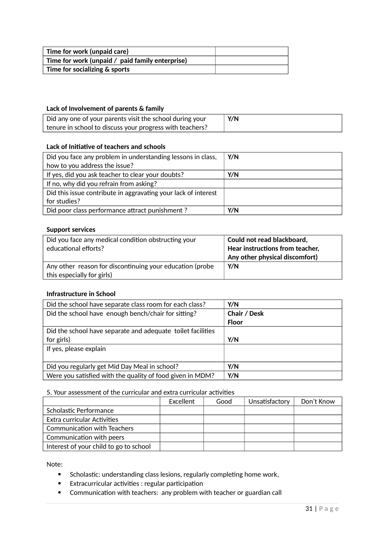| Time for work (unpaid care)                     |  |
|-------------------------------------------------|--|
| Time for work (unpaid / paid family enterprise) |  |
| Time for socializing & sports                   |  |

#### **Lack of Involvement of parents & family**

| Did any one of your parents visit the school during your | Y/N |
|----------------------------------------------------------|-----|
| tenure in school to discuss your progress with teachers? |     |

#### **Lack of Initiative of teachers and schools**

| Did you face any problem in understanding lessons in class,    | Y/N |
|----------------------------------------------------------------|-----|
| how to you address the issue?                                  |     |
| If yes, did you ask teacher to clear your doubts?              | Y/N |
| If no, why did you refrain from asking?                        |     |
| Did this issue contribute in aggravating your lack of interest |     |
| for studies?                                                   |     |
| Did poor class performance attract punishment ?                | Y/N |

#### **Support services**

| Did you face any medical condition obstructing your      | Could not read blackboard,      |
|----------------------------------------------------------|---------------------------------|
| educational efforts?                                     | Hear instructions from teacher, |
|                                                          | Any other physical discomfort)  |
| Any other reason for discontinuing your education (probe | Y/N                             |
| this especially for girls)                               |                                 |

#### **Infrastructure in School**

| Did the school have separate class room for each class?     | Y/N          |
|-------------------------------------------------------------|--------------|
| Did the school have enough bench/chair for sitting?         | Chair / Desk |
|                                                             | Floor        |
| Did the school have separate and adequate toilet facilities |              |
| for girls)                                                  | Y/N          |
| If yes, please explain                                      |              |
|                                                             |              |
| Did you regularly get Mid Day Meal in school?               | Y/N          |
| Were you satisfied with the quality of food given in MDM?   | Y/N          |

#### 5. Your assessment of the curricular and extra curricular activities

|                                        | <b>Fxcellent</b> | Good | Unsatisfactory | Don't Know |
|----------------------------------------|------------------|------|----------------|------------|
| Scholastic Performance                 |                  |      |                |            |
| Extra curricular Activities            |                  |      |                |            |
| <b>Communication with Teachers</b>     |                  |      |                |            |
| Communication with peers               |                  |      |                |            |
| Interest of your child to go to school |                  |      |                |            |

Note:

- Scholastic: understanding class lesions, regularly completing home work,
- Extracurricular activities : regular participation
- Communication with teachers: any problem with teacher or guardian call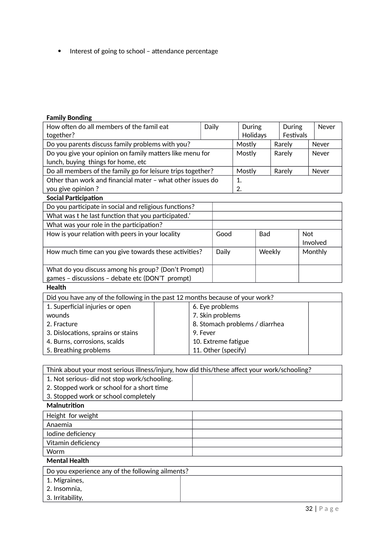• Interest of going to school - attendance percentage

### **Family Bonding**

| How often do all members of the famil eat                   | Daily | During   | During    | Never |
|-------------------------------------------------------------|-------|----------|-----------|-------|
| together?                                                   |       | Holidays | Festivals |       |
| Do you parents discuss family problems with you?            |       | Mostly   | Rarely    | Never |
| Do you give your opinion on family matters like menu for    |       | Mostly   | Rarely    | Never |
| lunch, buying things for home, etc                          |       |          |           |       |
| Do all members of the family go for leisure trips together? |       | Mostly   | Rarely    | Never |
| Other than work and financial mater - what other issues do  |       | 1.       |           |       |
| you give opinion?                                           |       | 2.       |           |       |

| <b>Social Participation</b>                           |       |            |            |
|-------------------------------------------------------|-------|------------|------------|
| Do you participate in social and religious functions? |       |            |            |
| What was t he last function that you participated.'   |       |            |            |
| What was your role in the participation?              |       |            |            |
| How is your relation with peers in your locality      | Good  | <b>Bad</b> | <b>Not</b> |
|                                                       |       |            | Involved   |
| How much time can you give towards these activities?  | Daily | Weekly     | Monthly    |
|                                                       |       |            |            |
| What do you discuss among his group? (Don't Prompt)   |       |            |            |
| games - discussions - debate etc (DON'T prompt)       |       |            |            |
| <b>Health</b>                                         |       |            |            |

| Did you have any of the following in the past 12 months because of your work? |                                |  |  |
|-------------------------------------------------------------------------------|--------------------------------|--|--|
| 1. Superficial injuries or open                                               | 6. Eye problems                |  |  |
| wounds                                                                        | 7. Skin problems               |  |  |
| 2. Fracture                                                                   | 8. Stomach problems / diarrhea |  |  |
| 3. Dislocations, sprains or stains                                            | 9. Fever                       |  |  |
| 4. Burns, corrosions, scalds                                                  | 10. Extreme fatigue            |  |  |
| 5. Breathing problems                                                         | 11. Other (specify)            |  |  |

| Think about your most serious illness/injury, how did this/these affect your work/schooling? |  |  |  |  |
|----------------------------------------------------------------------------------------------|--|--|--|--|
| 1. Not serious- did not stop work/schooling.                                                 |  |  |  |  |
| 2. Stopped work or school for a short time                                                   |  |  |  |  |
| 3. Stopped work or school completely                                                         |  |  |  |  |
| <b>Malnutrition</b>                                                                          |  |  |  |  |
| Height for weight                                                                            |  |  |  |  |
| Anaemia                                                                                      |  |  |  |  |
| Iodine deficiency                                                                            |  |  |  |  |
| Vitamin deficiency                                                                           |  |  |  |  |
| Worm                                                                                         |  |  |  |  |
| <b>Mental Health</b>                                                                         |  |  |  |  |
| Do you experience any of the following ailments?                                             |  |  |  |  |
| 1. Migraines,                                                                                |  |  |  |  |
| 2. Insomnia.                                                                                 |  |  |  |  |
| 3. Irritability,                                                                             |  |  |  |  |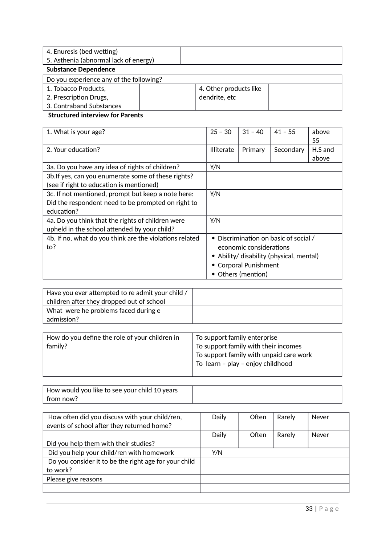4. Enuresis (bed wetting) 5. Asthenia (abnormal lack of energy)

# **Substance Dependence**

| Do you experience any of the following? |                        |  |
|-----------------------------------------|------------------------|--|
| 1. Tobacco Products.                    | 4. Other products like |  |
| 2. Prescription Drugs,                  | dendrite, etc          |  |
| 3. Contraband Substances                |                        |  |

#### **Structured interview for Parents**

| 1. What is your age?                                                                                                   | $25 - 30$         | $31 - 40$                                                              | $41 - 55$                                                                         | above<br>55      |
|------------------------------------------------------------------------------------------------------------------------|-------------------|------------------------------------------------------------------------|-----------------------------------------------------------------------------------|------------------|
| 2. Your education?                                                                                                     | <b>Illiterate</b> | Primary                                                                | Secondary                                                                         | H.S and<br>above |
| 3a. Do you have any idea of rights of children?                                                                        | Y/N               |                                                                        |                                                                                   |                  |
| 3b. If yes, can you enumerate some of these rights?<br>(see if right to education is mentioned)                        |                   |                                                                        |                                                                                   |                  |
| 3c. If not mentioned, prompt but keep a note here:<br>Did the respondent need to be prompted on right to<br>education? | Y/N               |                                                                        |                                                                                   |                  |
| 4a. Do you think that the rights of children were<br>upheld in the school attended by your child?                      | Y/N               |                                                                        |                                                                                   |                  |
| 4b. If no, what do you think are the violations related<br>to?                                                         |                   | economic considerations<br>• Corporal Punishment<br>• Others (mention) | • Discrimination on basic of social /<br>• Ability/ disability (physical, mental) |                  |

| Have you ever attempted to re admit your child / |  |
|--------------------------------------------------|--|
| children after they dropped out of school        |  |
| What were he problems faced during e             |  |
| admission?                                       |  |

| How do you define the role of your children in | To support family enterprise            |
|------------------------------------------------|-----------------------------------------|
| family?                                        | To support family with their incomes    |
|                                                | To support family with unpaid care work |
|                                                | To learn - play - enjoy childhood       |
|                                                |                                         |

| How would you like to see your child 10 years |  |
|-----------------------------------------------|--|
| from now?                                     |  |

| How often did you discuss with your child/ren,        | Daily | Often | Rarely | <b>Never</b> |
|-------------------------------------------------------|-------|-------|--------|--------------|
| events of school after they returned home?            |       |       |        |              |
|                                                       | Daily | Often | Rarely | Never        |
| Did you help them with their studies?                 |       |       |        |              |
| Did you help your child/ren with homework             | Y/N   |       |        |              |
| Do you consider it to be the right age for your child |       |       |        |              |
| to work?                                              |       |       |        |              |
| Please give reasons                                   |       |       |        |              |
|                                                       |       |       |        |              |